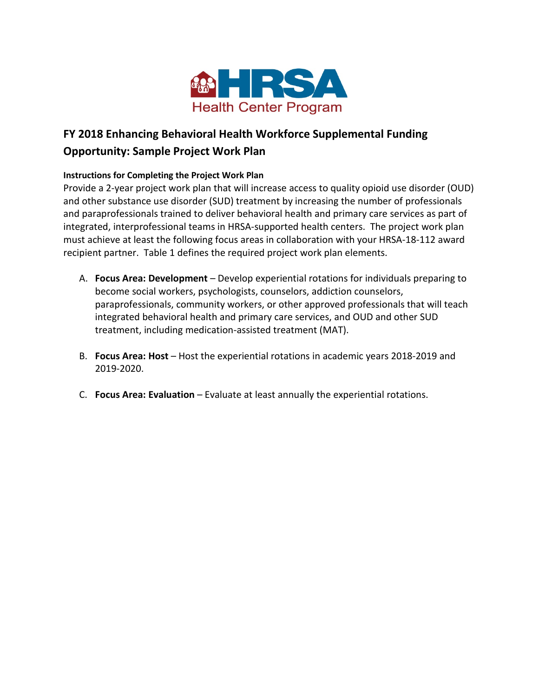

## **FY 2018 Enhancing Behavioral Health Workforce Supplemental Funding**

## **Opportunity: Sample Project Work Plan**

## **Instructions for Completing the Project Work Plan**

Provide a 2-year project work plan that will increase access to quality opioid use disorder (OUD) and other substance use disorder (SUD) treatment by increasing the number of professionals and paraprofessionals trained to deliver behavioral health and primary care services as part of integrated, interprofessional teams in HRSA-supported health centers. The project work plan must achieve at least the following focus areas in collaboration with your HRSA-18-112 award recipient partner. Table 1 defines the required project work plan elements.

- A. **Focus Area: Development** Develop experiential rotations for individuals preparing to become social workers, psychologists, counselors, addiction counselors, paraprofessionals, community workers, or other approved professionals that will teach integrated behavioral health and primary care services, and OUD and other SUD treatment, including medication-assisted treatment (MAT).
- B. **Focus Area: Host** Host the experiential rotations in academic years 2018-2019 and 2019-2020.
- C. **Focus Area: Evaluation** Evaluate at least annually the experiential rotations.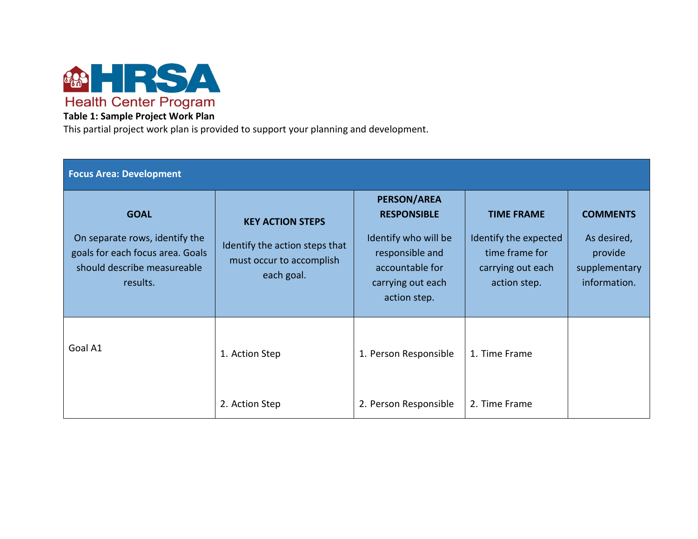

## **Table 1: Sample Project Work Plan**

This partial project work plan is provided to support your planning and development.

| <b>Focus Area: Development</b>                                                                                               |                                                                                                     |                                                                                                                                             |                                                                                                   |                                                                            |  |  |  |
|------------------------------------------------------------------------------------------------------------------------------|-----------------------------------------------------------------------------------------------------|---------------------------------------------------------------------------------------------------------------------------------------------|---------------------------------------------------------------------------------------------------|----------------------------------------------------------------------------|--|--|--|
| <b>GOAL</b><br>On separate rows, identify the<br>goals for each focus area. Goals<br>should describe measureable<br>results. | <b>KEY ACTION STEPS</b><br>Identify the action steps that<br>must occur to accomplish<br>each goal. | <b>PERSON/AREA</b><br><b>RESPONSIBLE</b><br>Identify who will be<br>responsible and<br>accountable for<br>carrying out each<br>action step. | <b>TIME FRAME</b><br>Identify the expected<br>time frame for<br>carrying out each<br>action step. | <b>COMMENTS</b><br>As desired,<br>provide<br>supplementary<br>information. |  |  |  |
| Goal A1                                                                                                                      | 1. Action Step<br>2. Action Step                                                                    | 1. Person Responsible<br>2. Person Responsible                                                                                              | 1. Time Frame<br>2. Time Frame                                                                    |                                                                            |  |  |  |